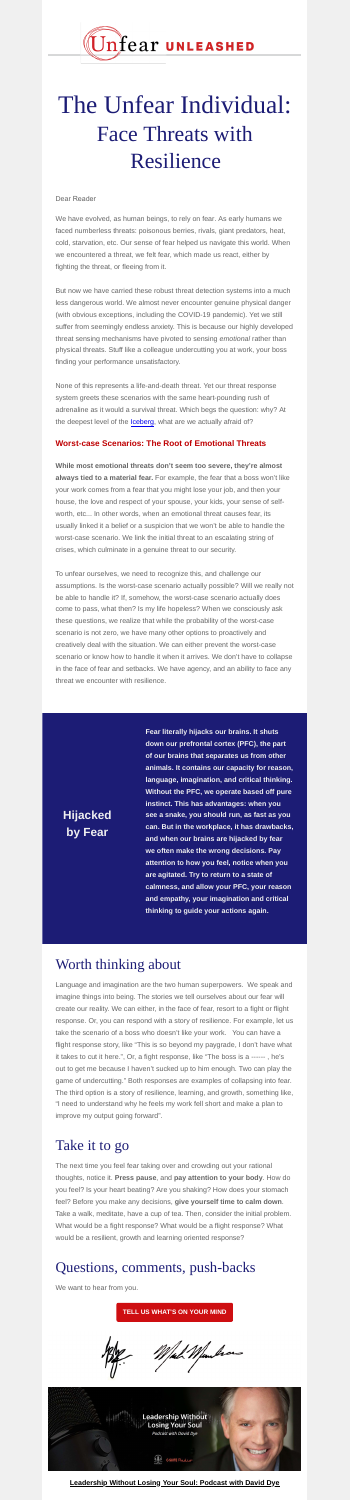**Hijacked**

**by Fear**

**Fear literally hijacks our brains. It shuts down our prefrontal cortex (PFC), the part of our brains that separates us from other animals. It contains our capacity for reason, language, imagination, and critical thinking. Without the PFC, we operate based off pure instinct. This has advantages: when you see a snake, you should run, as fast as you can. But in the workplace, it has drawbacks, and when our brains are hijacked by fear we often make the wrong decisions. Pay attention to how you feel, notice when you are agitated. Try to return to a state of calmness, and allow your PFC, your reason and empathy, your imagination and critical thinking to guide your actions again.**



# The Unfear Individual: Face Threats with Resilience

Dear Reader

None of this represents a life-and-death threat. Yet our threat response system greets these scenarios with the same heart-pounding rush of adrenaline as it would a survival threat. Which begs the question: why? At the deepest level of the **[Iceberg](https://cocreationpartners.com/wp-content/uploads/2022/03/Unfear-Newsletter-3.pdf)**, what are we actually afraid of?

We have evolved, as human beings, to rely on fear. As early humans we faced numberless threats: poisonous berries, rivals, giant predators, heat, cold, starvation, etc. Our sense of fear helped us navigate this world. When we encountered a threat, we felt fear, which made us react, either by fighting the threat, or fleeing from it.

But now we have carried these robust threat detection systems into a much less dangerous world. We almost never encounter genuine physical danger (with obvious exceptions, including the COVID-19 pandemic). Yet we still suffer from seemingly endless anxiety. This is because our highly developed threat sensing mechanisms have pivoted to sensing *emotional* rather than physical threats. Stuff like a colleague undercutting you at work, your boss finding your performance unsatisfactory.

#### **Worst-case Scenarios: The Root of Emotional Threats**

**While most emotional threats don't seem too severe, they're almost always tied to a material fear.** For example, the fear that a boss won't like your work comes from a fear that you might lose your job, and then your house, the love and respect of your spouse, your kids, your sense of selfworth, etc... In other words, when an emotional threat causes fear, its usually linked it a belief or a suspicion that we won't be able to handle the

worst-case scenario. We link the initial threat to an escalating string of crises, which culminate in a genuine threat to our security.

To unfear ourselves, we need to recognize this, and challenge our assumptions. Is the worst-case scenario actually possible? Will we really not be able to handle it? If, somehow, the worst-case scenario actually does come to pass, what then? Is my life hopeless? When we consciously ask these questions, we realize that while the probability of the worst-case scenario is not zero, we have many other options to proactively and creatively deal with the situation. We can either prevent the worst-case scenario or know how to handle it when it arrives. We don't have to collapse in the face of fear and setbacks. We have agency, and an ability to face any threat we encounter with resilience.

### Worth thinking about

Language and imagination are the two human superpowers. We speak and imagine things into being. The stories we tell ourselves about our fear will create our reality. We can either, in the face of fear, resort to a fight or flight response. Or, you can respond with a story of resilience. For example, let us take the scenario of a boss who doesn't like your work. You can have a flight response story, like "This is so beyond my paygrade, I don't have what it takes to cut it here.", Or, a fight response, like "The boss is a ------ , he's out to get me because I haven't sucked up to him enough. Two can play the game of undercutting." Both responses are examples of collapsing into fear. The third option is a story of resilience, learning, and growth, something like, "I need to understand why he feels my work fell short and make a plan to improve my output going forward".

### Take it to go

The next time you feel fear taking over and crowding out your rational thoughts, notice it. **Press pause**, and **pay attention to your body**. How do you feel? Is your heart beating? Are you shaking? How does your stomach feel? Before you make any decisions, **give yourself time to calm down**. Take a walk, meditate, have a cup of tea. Then, consider the initial problem. What would be a fight response? What would be a flight response? What would be a resilient, growth and learning oriented response?

## Questions, comments, push-backs

We want to hear from you.

**[TELL US WHAT'S ON YOUR MIND](mailto:GauravandMark@cocreationpartners.com?subject=UNFEAR%20Book%20Inquiry)**





#### **[Leadership Without Losing Your Soul: Podcast with David Dye](https://letsgrowleaders.com/2021/12/03/un-fear-with-gaurav-bhatnagar-and-mark-minukas/)**